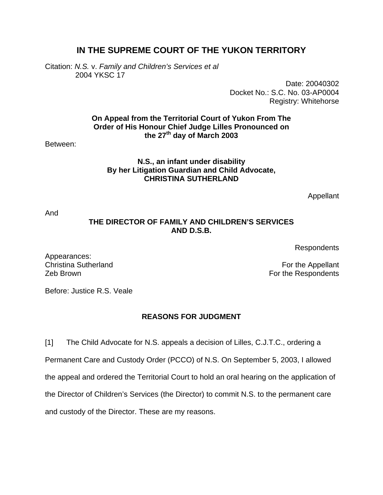# **IN THE SUPREME COURT OF THE YUKON TERRITORY**

Citation: *N.S.* v. *Family and Children's Services et al*  2004 YKSC 17

> Date: 20040302 Docket No.: S.C. No. 03-AP0004 Registry: Whitehorse

**On Appeal from the Territorial Court of Yukon From The Order of His Honour Chief Judge Lilles Pronounced on the 27th day of March 2003** 

Between:

### **N.S., an infant under disability By her Litigation Guardian and Child Advocate, CHRISTINA SUTHERLAND**

Appellant

And

Appearances:

### **THE DIRECTOR OF FAMILY AND CHILDREN'S SERVICES AND D.S.B.**

Respondents

Christina Sutherland **For the Appellant Zeb Brown For the Respondents** 

Before: Justice R.S. Veale

## **REASONS FOR JUDGMENT**

[1] The Child Advocate for N.S. appeals a decision of Lilles, C.J.T.C., ordering a Permanent Care and Custody Order (PCCO) of N.S. On September 5, 2003, I allowed the appeal and ordered the Territorial Court to hold an oral hearing on the application of the Director of Children's Services (the Director) to commit N.S. to the permanent care and custody of the Director. These are my reasons.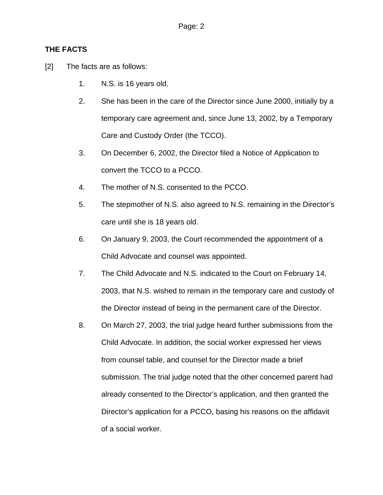### **THE FACTS**

- [2] The facts are as follows:
	- 1. N.S. is 16 years old.
	- 2. She has been in the care of the Director since June 2000, initially by a temporary care agreement and, since June 13, 2002, by a Temporary Care and Custody Order (the TCCO).
	- 3. On December 6, 2002, the Director filed a Notice of Application to convert the TCCO to a PCCO.
	- 4. The mother of N.S. consented to the PCCO.
	- 5. The stepmother of N.S. also agreed to N.S. remaining in the Director's care until she is 18 years old.
	- 6. On January 9, 2003, the Court recommended the appointment of a Child Advocate and counsel was appointed.
	- 7. The Child Advocate and N.S. indicated to the Court on February 14, 2003, that N.S. wished to remain in the temporary care and custody of the Director instead of being in the permanent care of the Director.
	- 8. On March 27, 2003, the trial judge heard further submissions from the Child Advocate. In addition, the social worker expressed her views from counsel table, and counsel for the Director made a brief submission. The trial judge noted that the other concerned parent had already consented to the Director's application, and then granted the Director's application for a PCCO, basing his reasons on the affidavit of a social worker.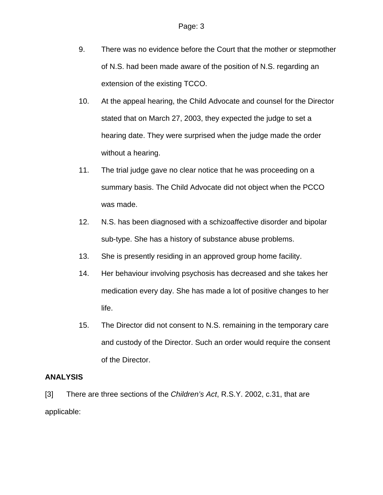- 9. There was no evidence before the Court that the mother or stepmother of N.S. had been made aware of the position of N.S. regarding an extension of the existing TCCO.
- 10. At the appeal hearing, the Child Advocate and counsel for the Director stated that on March 27, 2003, they expected the judge to set a hearing date. They were surprised when the judge made the order without a hearing.
- 11. The trial judge gave no clear notice that he was proceeding on a summary basis. The Child Advocate did not object when the PCCO was made.
- 12. N.S. has been diagnosed with a schizoaffective disorder and bipolar sub-type. She has a history of substance abuse problems.
- 13. She is presently residing in an approved group home facility.
- 14. Her behaviour involving psychosis has decreased and she takes her medication every day. She has made a lot of positive changes to her life.
- 15. The Director did not consent to N.S. remaining in the temporary care and custody of the Director. Such an order would require the consent of the Director.

## **ANALYSIS**

[3] There are three sections of the *Children's Act*, R.S.Y. 2002, c.31, that are applicable: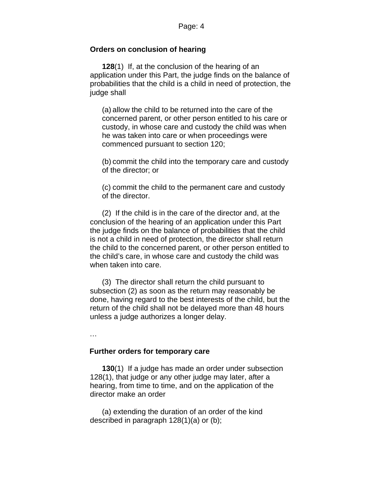#### **Orders on conclusion of hearing**

**128**(1) If, at the conclusion of the hearing of an application under this Part, the judge finds on the balance of probabilities that the child is a child in need of protection, the judge shall

(a) allow the child to be returned into the care of the concerned parent, or other person entitled to his care or custody, in whose care and custody the child was when he was taken into care or when proceedings were commenced pursuant to section 120;

(b) commit the child into the temporary care and custody of the director; or

(c) commit the child to the permanent care and custody of the director.

(2) If the child is in the care of the director and, at the conclusion of the hearing of an application under this Part the judge finds on the balance of probabilities that the child is not a child in need of protection, the director shall return the child to the concerned parent, or other person entitled to the child's care, in whose care and custody the child was when taken into care.

(3) The director shall return the child pursuant to subsection (2) as soon as the return may reasonably be done, having regard to the best interests of the child, but the return of the child shall not be delayed more than 48 hours unless a judge authorizes a longer delay.

…

#### **Further orders for temporary care**

**130**(1) If a judge has made an order under subsection 128(1), that judge or any other judge may later, after a hearing, from time to time, and on the application of the director make an order

(a) extending the duration of an order of the kind described in paragraph 128(1)(a) or (b);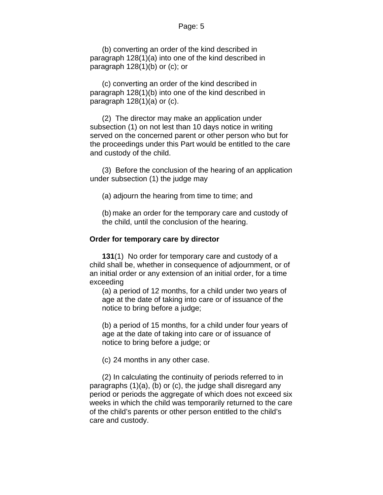#### Page: 5

(b) converting an order of the kind described in paragraph 128(1)(a) into one of the kind described in paragraph  $128(1)(b)$  or  $(c)$ ; or

(c) converting an order of the kind described in paragraph 128(1)(b) into one of the kind described in paragraph  $128(1)(a)$  or  $(c)$ .

(2) The director may make an application under subsection (1) on not lest than 10 days notice in writing served on the concerned parent or other person who but for the proceedings under this Part would be entitled to the care and custody of the child.

(3) Before the conclusion of the hearing of an application under subsection (1) the judge may

(a) adjourn the hearing from time to time; and

(b) make an order for the temporary care and custody of the child, until the conclusion of the hearing.

#### **Order for temporary care by director**

**131**(1) No order for temporary care and custody of a child shall be, whether in consequence of adjournment, or of an initial order or any extension of an initial order, for a time exceeding

(a) a period of 12 months, for a child under two years of age at the date of taking into care or of issuance of the notice to bring before a judge;

(b) a period of 15 months, for a child under four years of age at the date of taking into care or of issuance of notice to bring before a judge; or

(c) 24 months in any other case.

(2) In calculating the continuity of periods referred to in paragraphs (1)(a), (b) or (c), the judge shall disregard any period or periods the aggregate of which does not exceed six weeks in which the child was temporarily returned to the care of the child's parents or other person entitled to the child's care and custody.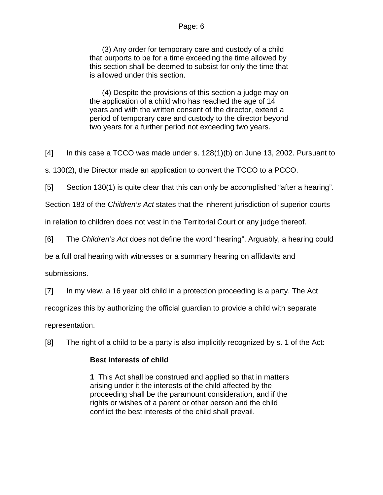#### Page: 6

(3) Any order for temporary care and custody of a child that purports to be for a time exceeding the time allowed by this section shall be deemed to subsist for only the time that is allowed under this section.

(4) Despite the provisions of this section a judge may on the application of a child who has reached the age of 14 years and with the written consent of the director, extend a period of temporary care and custody to the director beyond two years for a further period not exceeding two years.

[4] In this case a TCCO was made under s. 128(1)(b) on June 13, 2002. Pursuant to

s. 130(2), the Director made an application to convert the TCCO to a PCCO.

[5] Section 130(1) is quite clear that this can only be accomplished "after a hearing".

Section 183 of the *Children's Act* states that the inherent jurisdiction of superior courts

in relation to children does not vest in the Territorial Court or any judge thereof.

[6] The *Children's Act* does not define the word "hearing". Arguably, a hearing could

be a full oral hearing with witnesses or a summary hearing on affidavits and

submissions.

[7] In my view, a 16 year old child in a protection proceeding is a party. The Act

recognizes this by authorizing the official guardian to provide a child with separate

representation.

[8] The right of a child to be a party is also implicitly recognized by s. 1 of the Act:

## **Best interests of child**

**1** This Act shall be construed and applied so that in matters arising under it the interests of the child affected by the proceeding shall be the paramount consideration, and if the rights or wishes of a parent or other person and the child conflict the best interests of the child shall prevail.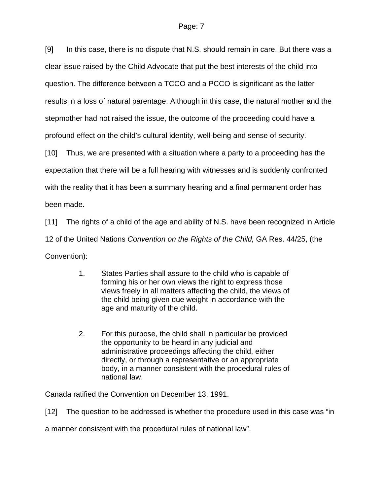[9] In this case, there is no dispute that N.S. should remain in care. But there was a clear issue raised by the Child Advocate that put the best interests of the child into question. The difference between a TCCO and a PCCO is significant as the latter results in a loss of natural parentage. Although in this case, the natural mother and the stepmother had not raised the issue, the outcome of the proceeding could have a profound effect on the child's cultural identity, well-being and sense of security.

[10] Thus, we are presented with a situation where a party to a proceeding has the expectation that there will be a full hearing with witnesses and is suddenly confronted with the reality that it has been a summary hearing and a final permanent order has been made.

[11] The rights of a child of the age and ability of N.S. have been recognized in Article 12 of the United Nations *Convention on the Rights of the Child,* GA Res. 44/25, (the Convention):

- 1. States Parties shall assure to the child who is capable of forming his or her own views the right to express those views freely in all matters affecting the child, the views of the child being given due weight in accordance with the age and maturity of the child.
- 2. For this purpose, the child shall in particular be provided the opportunity to be heard in any judicial and administrative proceedings affecting the child, either directly, or through a representative or an appropriate body, in a manner consistent with the procedural rules of national law.

Canada ratified the Convention on December 13, 1991.

[12] The question to be addressed is whether the procedure used in this case was "in

a manner consistent with the procedural rules of national law".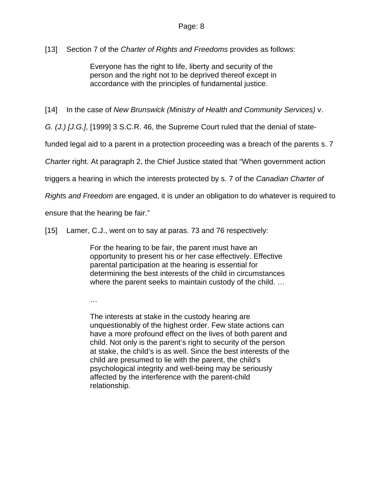[13] Section 7 of the *Charter of Rights and Freedoms* provides as follows:

Everyone has the right to life, liberty and security of the person and the right not to be deprived thereof except in accordance with the principles of fundamental justice.

[14] In the case of *New Brunswick (Ministry of Health and Community Services)* v.

*G. (J.) [J.G.]*, [1999] 3 S.C.R. 46, the Supreme Court ruled that the denial of state-

funded legal aid to a parent in a protection proceeding was a breach of the parents s. 7

*Charter* right. At paragraph 2, the Chief Justice stated that "When government action

triggers a hearing in which the interests protected by s. 7 of the *Canadian Charter of* 

*Rights and Freedom* are engaged, it is under an obligation to do whatever is required to

ensure that the hearing be fair."

[15] Lamer, C.J., went on to say at paras. 73 and 76 respectively:

For the hearing to be fair, the parent must have an opportunity to present his or her case effectively. Effective parental participation at the hearing is essential for determining the best interests of the child in circumstances where the parent seeks to maintain custody of the child. …

…

The interests at stake in the custody hearing are unquestionably of the highest order. Few state actions can have a more profound effect on the lives of both parent and child. Not only is the parent's right to security of the person at stake, the child's is as well. Since the best interests of the child are presumed to lie with the parent, the child's psychological integrity and well-being may be seriously affected by the interference with the parent-child relationship.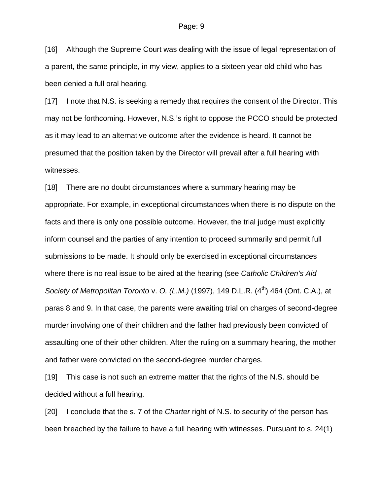[16] Although the Supreme Court was dealing with the issue of legal representation of a parent, the same principle, in my view, applies to a sixteen year-old child who has been denied a full oral hearing.

[17] I note that N.S. is seeking a remedy that requires the consent of the Director. This may not be forthcoming. However, N.S.'s right to oppose the PCCO should be protected as it may lead to an alternative outcome after the evidence is heard. It cannot be presumed that the position taken by the Director will prevail after a full hearing with witnesses.

[18] There are no doubt circumstances where a summary hearing may be appropriate. For example, in exceptional circumstances when there is no dispute on the facts and there is only one possible outcome. However, the trial judge must explicitly inform counsel and the parties of any intention to proceed summarily and permit full submissions to be made. It should only be exercised in exceptional circumstances where there is no real issue to be aired at the hearing (see *Catholic Children's Aid Society of Metropolitan Toronto v. O. (L.M.)* (1997), 149 D.L.R. (4<sup>th</sup>) 464 (Ont. C.A.), at paras 8 and 9. In that case, the parents were awaiting trial on charges of second-degree murder involving one of their children and the father had previously been convicted of assaulting one of their other children. After the ruling on a summary hearing, the mother and father were convicted on the second-degree murder charges.

[19] This case is not such an extreme matter that the rights of the N.S. should be decided without a full hearing.

[20] I conclude that the s. 7 of the *Charter* right of N.S. to security of the person has been breached by the failure to have a full hearing with witnesses. Pursuant to s. 24(1)